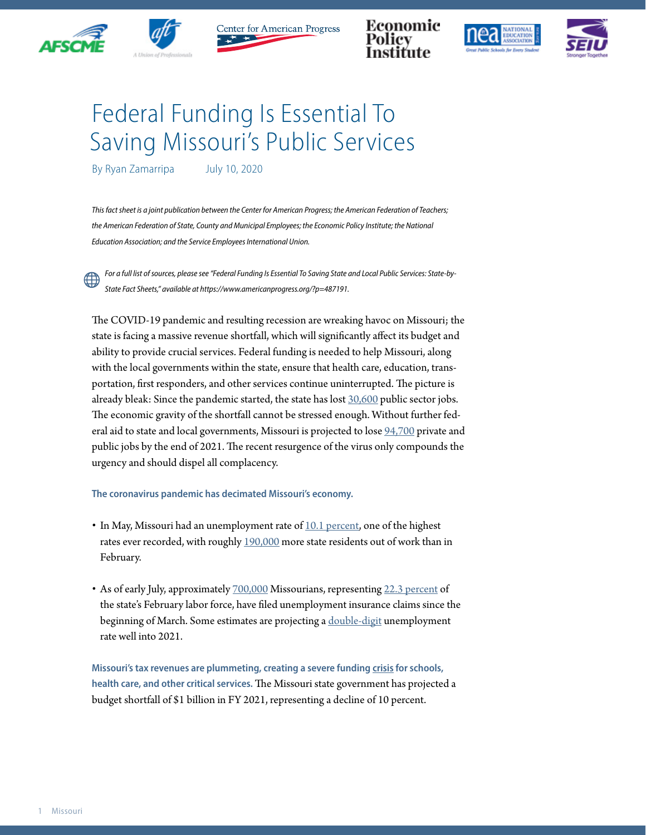



Center for American Progress

Economic





## Federal Funding Is Essential To Saving Missouri's Public Services

By Ryan Zamarripa July 10, 2020

*This fact sheet is a joint publication between the Center for American Progress; the American Federation of Teachers;*  the American Federation of State, County and Municipal Employees; the Economic Policy Institute; the National *Education Association; and the Service Employees International Union.*

*For a full list of sources, please see "Federal Funding Is Essential To Saving State and Local Public Services: State-by-State Fact Sheets," available at https://www.americanprogress.org/?p=487191.*

The COVID-19 pandemic and resulting recession are wreaking havoc on Missouri; the state is facing a massive revenue shortfall, which will significantly affect its budget and ability to provide crucial services. Federal funding is needed to help Missouri, along with the local governments within the state, ensure that health care, education, transportation, first responders, and other services continue uninterrupted. The picture is already bleak: Since the pandemic started, the state has lost [30,600](https://www.bls.gov/news.release/laus.t03.htm) public sector jobs. The economic gravity of the shortfall cannot be stressed enough. Without further federal aid to state and local governments, Missouri is projected to lose [94,700](https://www.epi.org/blog/without-federal-aid-to-state-and-local-governments-5-3-million-workers-will-likely-lose-their-jobs-by-the-end-of-2021-see-estimated-job-losses-by-state/) private and public jobs by the end of 2021. The recent resurgence of the virus only compounds the urgency and should dispel all complacency.

## **The coronavirus pandemic has decimated Missouri's economy.**

- In May, Missouri had an unemployment rate of  $10.1$  percent, one of the highest rates ever recorded, with roughly [190,000](https://www.bls.gov/news.release/laus.t03.htm) more state residents out of work than in February.
- As of early July, approximately [700,000](https://oui.doleta.gov/unemploy/claims_arch.asp) Missourians, representing [22.3 percent](https://www.bls.gov/news.release/laus.t01.htm) of the state's February labor force, have filed unemployment insurance claims since the beginning of March. Some estimates are projecting a [double-digit](http://www.oecd.org/economic-outlook/june-2020/#:~:text=Global%20economic%20activity%20falls%206,across%20the%20economy%20by%202021.) unemployment rate well into 2021.

**Missouri's tax revenues are plummeting, creating a severe funding [crisis](https://www.cbpp.org/research/state-budget-and-tax/states-grappling-with-hit-to-tax-collections) for schools, health care, and other critical services.** The Missouri state government has projected a budget shortfall of \$1 billion in FY 2021, representing a decline of 10 percent.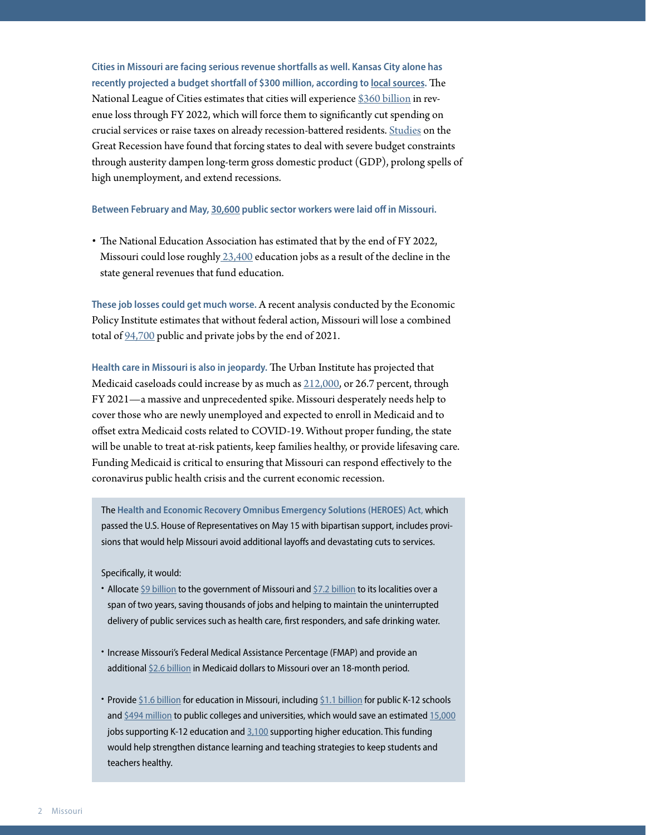**Cities in Missouri are facing serious revenue shortfalls as well. Kansas City alone has recently projected a budget shortfall of \$300 million, according to [local sources.](https://www.bizjournals.com/kansascity/news/2020/05/14/city-council-300million-recession.html)** The National League of Cities estimates that cities will experience [\\$360 billion](https://www.nlc.org/sites/default/files/users/user52651/Cities%20Are%20Essential%20Revenue%20Loss_One%20Pager.pdf) in revenue loss through FY 2022, which will force them to significantly cut spending on crucial services or raise taxes on already recession-battered residents. [Studies](https://www.americanprogress.org/issues/economy/reports/2014/05/30/90621/what-have-we-learned-about-austerity-since-the-great-recession/) on the Great Recession have found that forcing states to deal with severe budget constraints through austerity dampen long-term gross domestic product (GDP), prolong spells of high unemployment, and extend recessions.

**Between February and May, [30,600](https://www.bls.gov/news.release/laus.t03.htm) public sector workers were laid off in Missouri.**

• The National Education Association has estimated that by the end of FY 2022, Missouri could lose roughl[y 23,400](https://educationvotes.nea.org/wp-content/uploads/2020/06/Revised-NEA-Estimates-in-Support-of-the-HEROES-Act-06-06-2020.pdf?_ga=2.17671737.1424969520.1591579607-1012899167.1494591151) education jobs as a result of the decline in the state general revenues that fund education.

**These job losses could get much worse.** A recent analysis conducted by the Economic Policy Institute estimates that without federal action, Missouri will lose a combined total of [94,700](https://www.epi.org/blog/without-federal-aid-to-state-and-local-governments-5-3-million-workers-will-likely-lose-their-jobs-by-the-end-of-2021-see-estimated-job-losses-by-state/) public and private jobs by the end of 2021.

**Health care in Missouri is also in jeopardy.** The Urban Institute has projected that Medicaid caseloads could increase by as much as [212,000,](https://www.urban.org/research/publication/how-covid-19-recession-could-affect-health-insurance-coverage/view/full_report) or 26.7 percent, through FY 2021—a massive and unprecedented spike. Missouri desperately needs help to cover those who are newly unemployed and expected to enroll in Medicaid and to offset extra Medicaid costs related to COVID-19. Without proper funding, the state will be unable to treat at-risk patients, keep families healthy, or provide lifesaving care. Funding Medicaid is critical to ensuring that Missouri can respond effectively to the coronavirus public health crisis and the current economic recession.

The **Health and Economic Recovery Omnibus Emergency Solutions (HEROES) Act**, which passed the U.S. House of Representatives on May 15 with bipartisan support, includes provisions that would help Missouri avoid additional layoffs and devastating cuts to services.

Specifically, it would:

- Allocate [\\$9 billion](https://www.speaker.gov/heroesact) to the government of Missouri and [\\$7.2 billion](https://www.speaker.gov/heroesact) to its localities over a span of two years, saving thousands of jobs and helping to maintain the uninterrupted delivery of public services such as health care, first responders, and safe drinking water.
- Increase Missouri's Federal Medical Assistance Percentage (FMAP) and provide an additional [\\$2.6 billion](https://www.cbpp.org/blog/pelosi-bill-includes-much-needed-medicaid-funding-for-states) in Medicaid dollars to Missouri over an 18-month period.
- Provide [\\$1.6 billion](https://educationvotes.nea.org/wp-content/uploads/2020/06/Revised-NEA-Estimates-in-Support-of-the-HEROES-Act-06-06-2020.pdf?_ga=2.17671737.1424969520.1591579607-1012899167.1494591151) for education in Missouri, including [\\$1.1 billion](https://educationvotes.nea.org/wp-content/uploads/2020/06/Revised-NEA-Estimates-in-Support-of-the-HEROES-Act-06-06-2020.pdf?_ga=2.17671737.1424969520.1591579607-1012899167.1494591151) for public K-12 schools and [\\$494 million](https://educationvotes.nea.org/wp-content/uploads/2020/06/Revised-NEA-Estimates-in-Support-of-the-HEROES-Act-06-06-2020.pdf?_ga=2.17671737.1424969520.1591579607-1012899167.1494591151) to public colleges and universities, which would save an estimated [15,000](https://educationvotes.nea.org/wp-content/uploads/2020/06/Revised-NEA-Estimates-in-Support-of-the-HEROES-Act-06-06-2020.pdf?_ga=2.17671737.1424969520.1591579607-1012899167.1494591151) jobs supporting K-12 education and  $3,100$  supporting higher education. This funding would help strengthen distance learning and teaching strategies to keep students and teachers healthy.